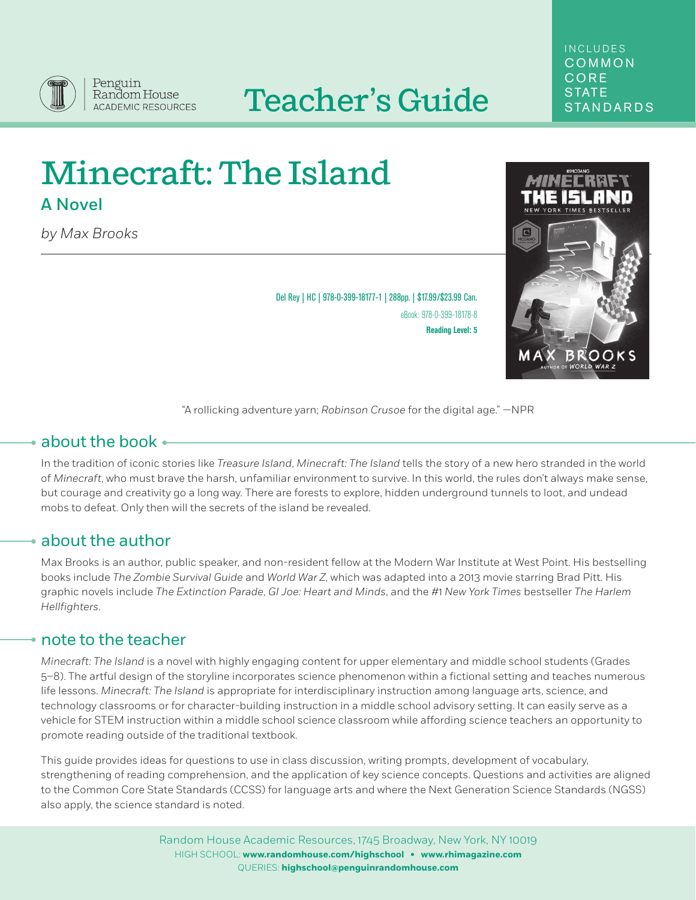

# Teacher's Guide STATE

## INCLUDES COMMON CORE

## Minecraft: The Island A Novel

*by Max Brooks*

Del Rey | HC | 978-0-399-18177-1 | 288pp. | \$17.99/\$23.99 Can. eBook: 978-0-399-18178-8 **Reading Level: 5**



"A rollicking adventure yarn; *Robinson Crusoe* for the digital age." —NPR

## about the book

In the tradition of iconic stories like *Treasure Island*, *Minecraft: The Island* tells the story of a new hero stranded in the world of *Minecraft*, who must brave the harsh, unfamiliar environment to survive. In this world, the rules don't always make sense, but courage and creativity go a long way. There are forests to explore, hidden underground tunnels to loot, and undead mobs to defeat. Only then will the secrets of the island be revealed.

## about the author

Max Brooks is an author, public speaker, and non-resident fellow at the Modern War Institute at West Point. His bestselling books include *The Zombie Survival Guide* and *World War Z*, which was adapted into a 2013 movie starring Brad Pitt. His graphic novels include *The Extinction Parade*, *GI Joe: Heart and Minds*, and the #1 *New York Times* bestseller *The Harlem Hellfighters*.

## note to the teacher

*Minecraft: The Island* is a novel with highly engaging content for upper elementary and middle school students (Grades 5–8). The artful design of the storyline incorporates science phenomenon within a fictional setting and teaches numerous life lessons. *Minecraft: The Island* is appropriate for interdisciplinary instruction among language arts, science, and technology classrooms or for character-building instruction in a middle school advisory setting. It can easily serve as a vehicle for STEM instruction within a middle school science classroom while affording science teachers an opportunity to promote reading outside of the traditional textbook.

This guide provides ideas for questions to use in class discussion, writing prompts, development of vocabulary, strengthening of reading comprehension, and the application of key science concepts. Questions and activities are aligned to the Common Core State Standards (CCSS) for language arts and where the Next Generation Science Standards (NGSS) also apply, the science standard is noted.

> Random House Academic Resources, 1745 Broadway, New York, NY 10019 HIGH SCHOOL: **www.randomhouse.com/highschool • www.rhimagazine.com** QUERIES: **highschool@penguinrandomhouse.com**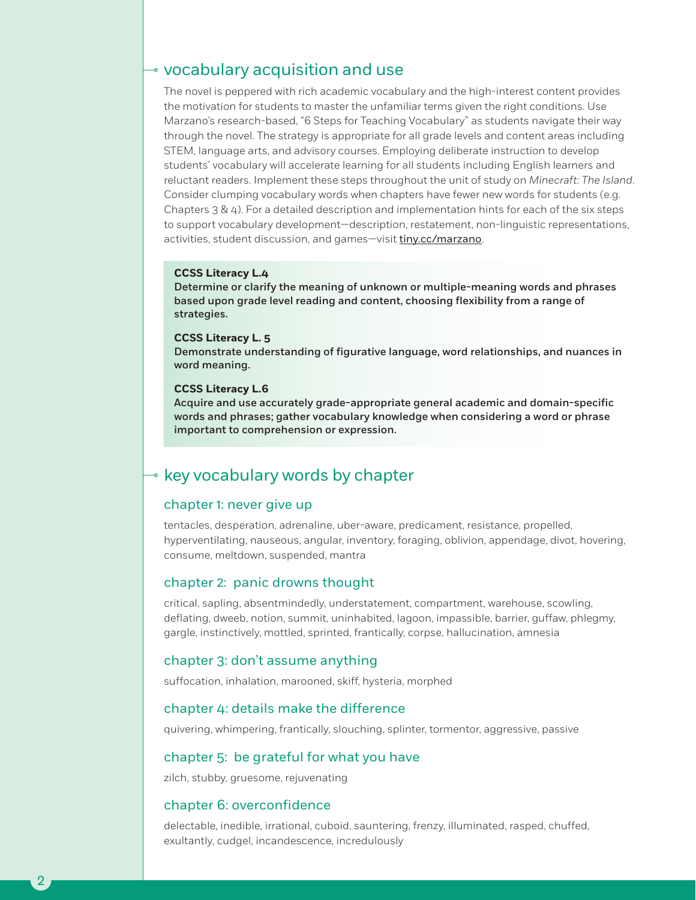## vocabulary acquisition and use

The novel is peppered with rich academic vocabulary and the high-interest content provides the motivation for students to master the unfamiliar terms given the right conditions. Use Marzano's research-based, "6 Steps for Teaching Vocabulary" as students navigate their way through the novel. The strategy is appropriate for all grade levels and content areas including STEM, language arts, and advisory courses. Employing deliberate instruction to develop students' vocabulary will accelerate learning for all students including English learners and reluctant readers. Implement these steps throughout the unit of study on *Minecraft: The Island*. Consider clumping vocabulary words when chapters have fewer new words for students (e.g. Chapters 3 & 4). For a detailed description and implementation hints for each of the six steps to support vocabulary development—description, restatement, non-linguistic representations, activities, student discussion, and games—visit tiny.cc/marzano.

#### **CCSS Literacy L.4**

Determine or clarify the meaning of unknown or multiple-meaning words and phrases based upon grade level reading and content, choosing flexibility from a range of strategies.

#### **CCSS Literacy L. 5**

Demonstrate understanding of figurative language, word relationships, and nuances in word meaning.

#### **CCSS Literacy L.6**

Acquire and use accurately grade-appropriate general academic and domain-specific words and phrases; gather vocabulary knowledge when considering a word or phrase important to comprehension or expression.

## $\rightarrow$  key vocabulary words by chapter

#### chapter 1: never give up

tentacles, desperation, adrenaline, uber-aware, predicament, resistance, propelled, hyperventilating, nauseous, angular, inventory, foraging, oblivion, appendage, divot, hovering, consume, meltdown, suspended, mantra

#### chapter 2: panic drowns thought

critical, sapling, absentmindedly, understatement, compartment, warehouse, scowling, deflating, dweeb, notion, summit, uninhabited, lagoon, impassible, barrier, guffaw, phlegmy, gargle, instinctively, mottled, sprinted, frantically, corpse, hallucination, amnesia

#### chapter 3: don't assume anything

suffocation, inhalation, marooned, skiff, hysteria, morphed

#### chapter 4: details make the difference

quivering, whimpering, frantically, slouching, splinter, tormentor, aggressive, passive

#### chapter 5: be grateful for what you have

zilch, stubby, gruesome, rejuvenating

#### chapter 6: overconfidence

2

delectable, inedible, irrational, cuboid, sauntering, frenzy, illuminated, rasped, chuffed, exultantly, cudgel, incandescence, incredulously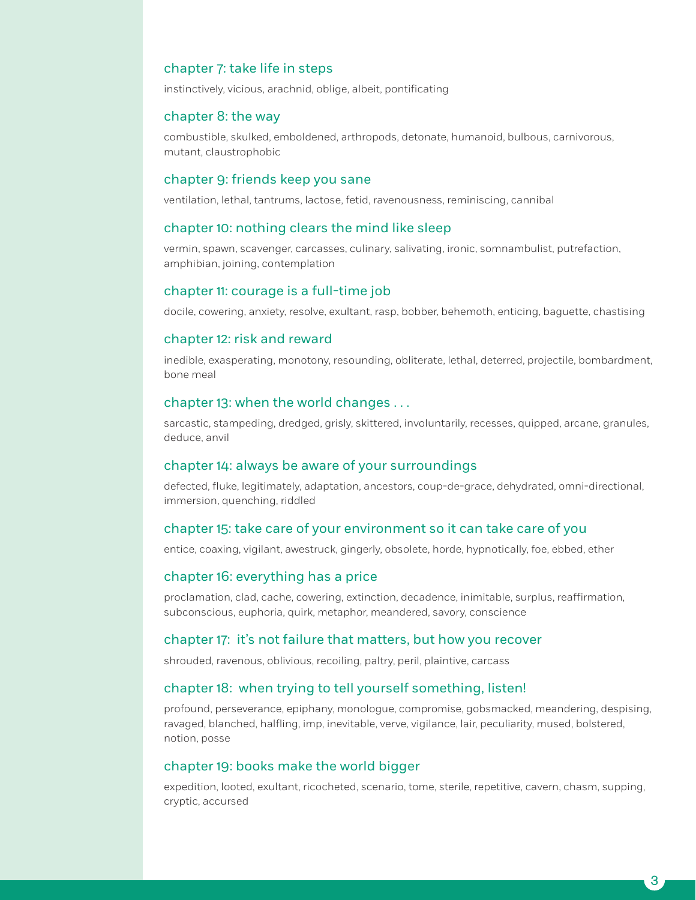#### chapter 7: take life in steps

instinctively, vicious, arachnid, oblige, albeit, pontificating

#### chapter 8: the way

combustible, skulked, emboldened, arthropods, detonate, humanoid, bulbous, carnivorous, mutant, claustrophobic

#### chapter 9: friends keep you sane

ventilation, lethal, tantrums, lactose, fetid, ravenousness, reminiscing, cannibal

#### chapter 10: nothing clears the mind like sleep

vermin, spawn, scavenger, carcasses, culinary, salivating, ironic, somnambulist, putrefaction, amphibian, joining, contemplation

#### chapter 11: courage is a full-time job

docile, cowering, anxiety, resolve, exultant, rasp, bobber, behemoth, enticing, baguette, chastising

#### chapter 12: risk and reward

inedible, exasperating, monotony, resounding, obliterate, lethal, deterred, projectile, bombardment, bone meal

#### chapter 13: when the world changes . . .

sarcastic, stampeding, dredged, grisly, skittered, involuntarily, recesses, quipped, arcane, granules, deduce, anvil

#### chapter 14: always be aware of your surroundings

defected, fluke, legitimately, adaptation, ancestors, coup-de-grace, dehydrated, omni-directional, immersion, quenching, riddled

#### chapter 15: take care of your environment so it can take care of you

entice, coaxing, vigilant, awestruck, gingerly, obsolete, horde, hypnotically, foe, ebbed, ether

#### chapter 16: everything has a price

proclamation, clad, cache, cowering, extinction, decadence, inimitable, surplus, reaffirmation, subconscious, euphoria, quirk, metaphor, meandered, savory, conscience

#### chapter 17: it's not failure that matters, but how you recover

shrouded, ravenous, oblivious, recoiling, paltry, peril, plaintive, carcass

#### chapter 18: when trying to tell yourself something, listen!

profound, perseverance, epiphany, monologue, compromise, gobsmacked, meandering, despising, ravaged, blanched, halfling, imp, inevitable, verve, vigilance, lair, peculiarity, mused, bolstered, notion, posse

#### chapter 19: books make the world bigger

expedition, looted, exultant, ricocheted, scenario, tome, sterile, repetitive, cavern, chasm, supping, cryptic, accursed

3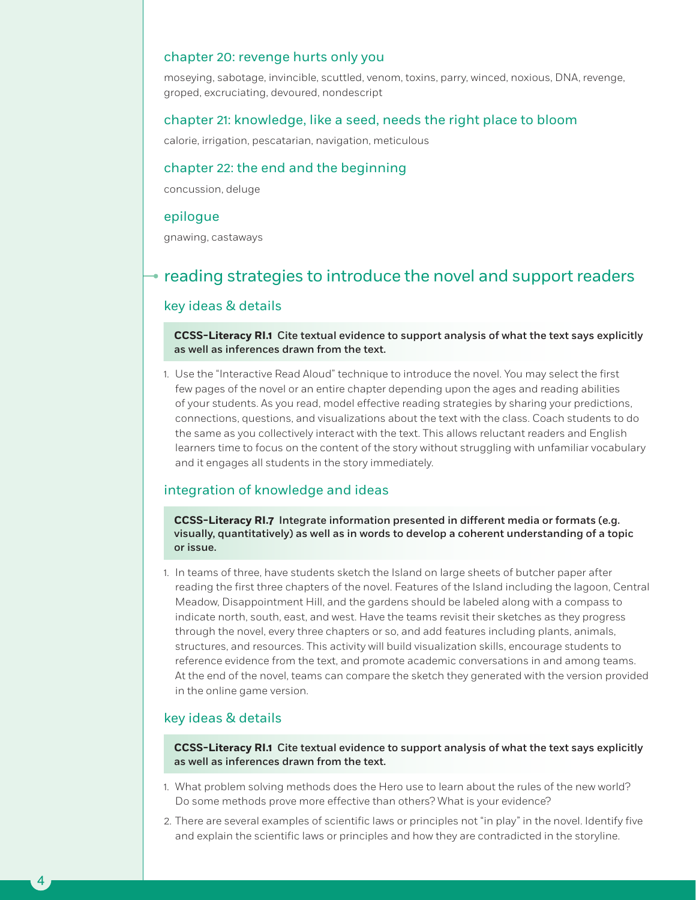#### chapter 20: revenge hurts only you

moseying, sabotage, invincible, scuttled, venom, toxins, parry, winced, noxious, DNA, revenge, groped, excruciating, devoured, nondescript

#### chapter 21: knowledge, like a seed, needs the right place to bloom

calorie, irrigation, pescatarian, navigation, meticulous

#### chapter 22: the end and the beginning

concussion, deluge

#### epilogue

gnawing, castaways

## $\bullet$  reading strategies to introduce the novel and support readers

#### key ideas & details

**CCSS-Literacy RI.1** Cite textual evidence to support analysis of what the text says explicitly as well as inferences drawn from the text.

1. Use the "Interactive Read Aloud" technique to introduce the novel. You may select the first few pages of the novel or an entire chapter depending upon the ages and reading abilities of your students. As you read, model effective reading strategies by sharing your predictions, connections, questions, and visualizations about the text with the class. Coach students to do the same as you collectively interact with the text. This allows reluctant readers and English learners time to focus on the content of the story without struggling with unfamiliar vocabulary and it engages all students in the story immediately.

#### integration of knowledge and ideas

**CCSS-Literacy RI.7** Integrate information presented in different media or formats (e.g. visually, quantitatively) as well as in words to develop a coherent understanding of a topic or issue.

1. In teams of three, have students sketch the Island on large sheets of butcher paper after reading the first three chapters of the novel. Features of the Island including the lagoon, Central Meadow, Disappointment Hill, and the gardens should be labeled along with a compass to indicate north, south, east, and west. Have the teams revisit their sketches as they progress through the novel, every three chapters or so, and add features including plants, animals, structures, and resources. This activity will build visualization skills, encourage students to reference evidence from the text, and promote academic conversations in and among teams. At the end of the novel, teams can compare the sketch they generated with the version provided in the online game version.

#### key ideas & details

4

**CCSS-Literacy RI.1** Cite textual evidence to support analysis of what the text says explicitly as well as inferences drawn from the text.

- 1. What problem solving methods does the Hero use to learn about the rules of the new world? Do some methods prove more effective than others? What is your evidence?
- 2. There are several examples of scientific laws or principles not "in play" in the novel. Identify five and explain the scientific laws or principles and how they are contradicted in the storyline.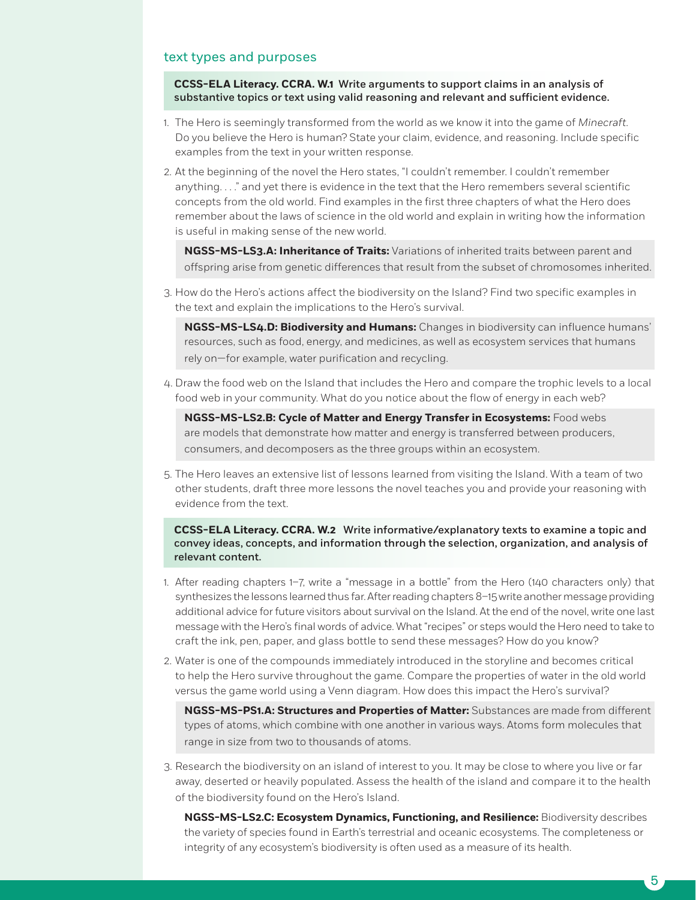#### text types and purposes

**CCSS-ELA Literacy. CCRA. W.1** Write arguments to support claims in an analysis of substantive topics or text using valid reasoning and relevant and sufficient evidence.

- 1. The Hero is seemingly transformed from the world as we know it into the game of *Minecraft*. Do you believe the Hero is human? State your claim, evidence, and reasoning. Include specific examples from the text in your written response.
- 2. At the beginning of the novel the Hero states, "I couldn't remember. I couldn't remember anything. . . ." and yet there is evidence in the text that the Hero remembers several scientific concepts from the old world. Find examples in the first three chapters of what the Hero does remember about the laws of science in the old world and explain in writing how the information is useful in making sense of the new world.

**NGSS-MS-LS3.A: Inheritance of Traits:** Variations of inherited traits between parent and offspring arise from genetic differences that result from the subset of chromosomes inherited.

3. How do the Hero's actions affect the biodiversity on the Island? Find two specific examples in the text and explain the implications to the Hero's survival.

**NGSS-MS-LS4.D: Biodiversity and Humans:** Changes in biodiversity can influence humans' resources, such as food, energy, and medicines, as well as ecosystem services that humans rely on—for example, water purification and recycling.

4. Draw the food web on the Island that includes the Hero and compare the trophic levels to a local food web in your community. What do you notice about the flow of energy in each web?

**NGSS-MS-LS2.B: Cycle of Matter and Energy Transfer in Ecosystems:** Food webs are models that demonstrate how matter and energy is transferred between producers, consumers, and decomposers as the three groups within an ecosystem.

5. The Hero leaves an extensive list of lessons learned from visiting the Island. With a team of two other students, draft three more lessons the novel teaches you and provide your reasoning with evidence from the text.

#### **CCSS-ELA Literacy. CCRA. W.2** Write informative/explanatory texts to examine a topic and convey ideas, concepts, and information through the selection, organization, and analysis of relevant content.

- 1. After reading chapters 1–7, write a "message in a bottle" from the Hero (140 characters only) that synthesizes the lessons learned thus far. After reading chapters 8–15 write another message providing additional advice for future visitors about survival on the Island. At the end of the novel, write one last message with the Hero's final words of advice. What "recipes" or steps would the Hero need to take to craft the ink, pen, paper, and glass bottle to send these messages? How do you know?
- 2. Water is one of the compounds immediately introduced in the storyline and becomes critical to help the Hero survive throughout the game. Compare the properties of water in the old world versus the game world using a Venn diagram. How does this impact the Hero's survival?

**NGSS-MS-PS1.A: Structures and Properties of Matter:** Substances are made from different types of atoms, which combine with one another in various ways. Atoms form molecules that range in size from two to thousands of atoms.

- 3. Research the biodiversity on an island of interest to you. It may be close to where you live or far away, deserted or heavily populated. Assess the health of the island and compare it to the health of the biodiversity found on the Hero's Island.
	- **NGSS-MS-LS2.C: Ecosystem Dynamics, Functioning, and Resilience:** Biodiversity describes the variety of species found in Earth's terrestrial and oceanic ecosystems. The completeness or integrity of any ecosystem's biodiversity is often used as a measure of its health.

5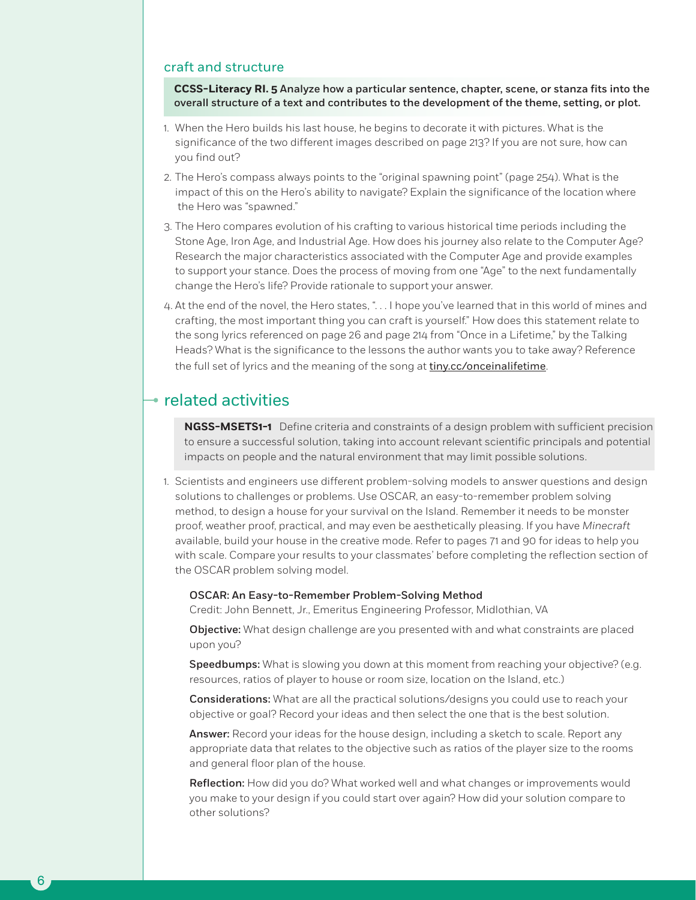#### craft and structure

**CCSS-Literacy RI. 5** Analyze how a particular sentence, chapter, scene, or stanza fits into the overall structure of a text and contributes to the development of the theme, setting, or plot.

- 1. When the Hero builds his last house, he begins to decorate it with pictures. What is the significance of the two different images described on page 213? If you are not sure, how can you find out?
- 2. The Hero's compass always points to the "original spawning point" (page 254). What is the impact of this on the Hero's ability to navigate? Explain the significance of the location where the Hero was "spawned."
- 3. The Hero compares evolution of his crafting to various historical time periods including the Stone Age, Iron Age, and Industrial Age. How does his journey also relate to the Computer Age? Research the major characteristics associated with the Computer Age and provide examples to support your stance. Does the process of moving from one "Age" to the next fundamentally change the Hero's life? Provide rationale to support your answer.
- 4. At the end of the novel, the Hero states, ". . . I hope you've learned that in this world of mines and crafting, the most important thing you can craft is yourself." How does this statement relate to the song lyrics referenced on page 26 and page 214 from "Once in a Lifetime," by the Talking Heads? What is the significance to the lessons the author wants you to take away? Reference the full set of lyrics and the meaning of the song at tiny.cc/onceinalifetime.

## $\bullet$  related activities

6

**NGSS-MSETS1-1** Define criteria and constraints of a design problem with sufficient precision to ensure a successful solution, taking into account relevant scientific principals and potential impacts on people and the natural environment that may limit possible solutions.

1. Scientists and engineers use different problem-solving models to answer questions and design solutions to challenges or problems. Use OSCAR, an easy-to-remember problem solving method, to design a house for your survival on the Island. Remember it needs to be monster proof, weather proof, practical, and may even be aesthetically pleasing. If you have *Minecraft* available, build your house in the creative mode. Refer to pages 71 and 90 for ideas to help you with scale. Compare your results to your classmates' before completing the reflection section of the OSCAR problem solving model.

#### OSCAR: An Easy-to-Remember Problem-Solving Method

Credit: John Bennett, Jr., Emeritus Engineering Professor, Midlothian, VA

**Objective:** What design challenge are you presented with and what constraints are placed upon you?

Speedbumps: What is slowing you down at this moment from reaching your objective? (e.g. resources, ratios of player to house or room size, location on the Island, etc.)

Considerations: What are all the practical solutions/designs you could use to reach your objective or goal? Record your ideas and then select the one that is the best solution.

Answer: Record your ideas for the house design, including a sketch to scale. Report any appropriate data that relates to the objective such as ratios of the player size to the rooms and general floor plan of the house.

Reflection: How did you do? What worked well and what changes or improvements would you make to your design if you could start over again? How did your solution compare to other solutions?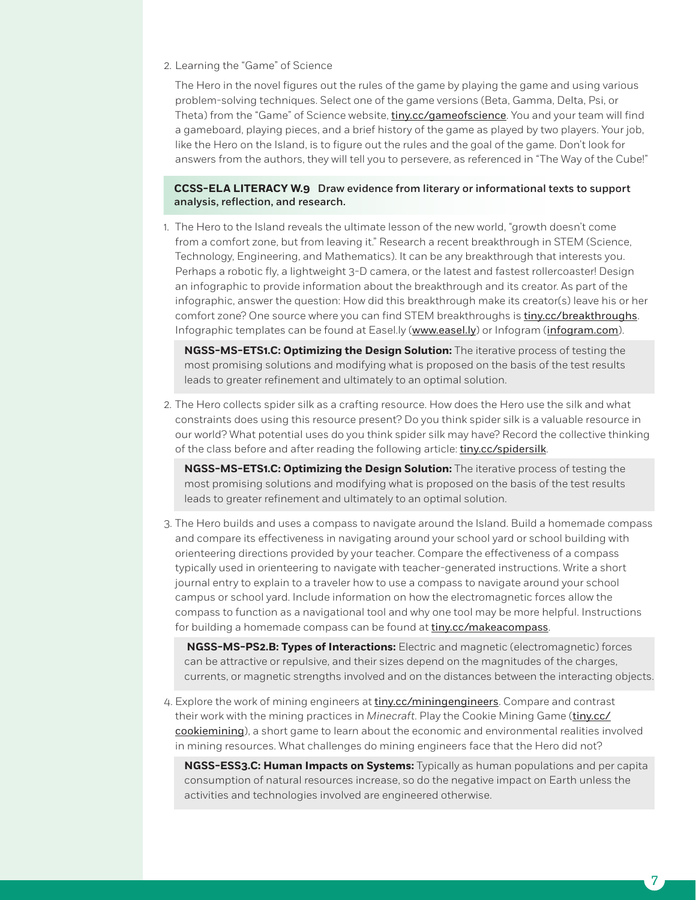2. Learning the "Game" of Science

The Hero in the novel figures out the rules of the game by playing the game and using various problem-solving techniques. Select one of the game versions (Beta, Gamma, Delta, Psi, or Theta) from the "Game" of Science website, tiny.cc/gameofscience. You and your team will find a gameboard, playing pieces, and a brief history of the game as played by two players. Your job, like the Hero on the Island, is to figure out the rules and the goal of the game. Don't look for answers from the authors, they will tell you to persevere, as referenced in "The Way of the Cube!"

#### **CCSS-ELA LITERACY W.9** Draw evidence from literary or informational texts to support analysis, reflection, and research.

1. The Hero to the Island reveals the ultimate lesson of the new world, "growth doesn't come from a comfort zone, but from leaving it." Research a recent breakthrough in STEM (Science, Technology, Engineering, and Mathematics). It can be any breakthrough that interests you. Perhaps a robotic fly, a lightweight 3-D camera, or the latest and fastest rollercoaster! Design an infographic to provide information about the breakthrough and its creator. As part of the infographic, answer the question: How did this breakthrough make its creator(s) leave his or her comfort zone? One source where you can find STEM breakthroughs is tiny.cc/breakthroughs. Infographic templates can be found at Easel.ly (www.easel.ly) or Infogram (infogram.com).

**NGSS-MS-ETS1.C: Optimizing the Design Solution:** The iterative process of testing the most promising solutions and modifying what is proposed on the basis of the test results leads to greater refinement and ultimately to an optimal solution.

2. The Hero collects spider silk as a crafting resource. How does the Hero use the silk and what constraints does using this resource present? Do you think spider silk is a valuable resource in our world? What potential uses do you think spider silk may have? Record the collective thinking of the class before and after reading the following article: tiny.cc/spidersilk.

**NGSS-MS-ETS1.C: Optimizing the Design Solution:** The iterative process of testing the most promising solutions and modifying what is proposed on the basis of the test results leads to greater refinement and ultimately to an optimal solution.

3. The Hero builds and uses a compass to navigate around the Island. Build a homemade compass and compare its effectiveness in navigating around your school yard or school building with orienteering directions provided by your teacher. Compare the effectiveness of a compass typically used in orienteering to navigate with teacher-generated instructions. Write a short journal entry to explain to a traveler how to use a compass to navigate around your school campus or school yard. Include information on how the electromagnetic forces allow the compass to function as a navigational tool and why one tool may be more helpful. Instructions for building a homemade compass can be found at tiny.cc/makeacompass.

 **NGSS-MS-PS2.B: Types of Interactions:** Electric and magnetic (electromagnetic) forces can be attractive or repulsive, and their sizes depend on the magnitudes of the charges, currents, or magnetic strengths involved and on the distances between the interacting objects.

4. Explore the work of mining engineers at tiny.cc/miningengineers. Compare and contrast their work with the mining practices in *Minecraft*. Play the Cookie Mining Game (tiny.cc/ cookiemining), a short game to learn about the economic and environmental realities involved in mining resources. What challenges do mining engineers face that the Hero did not?

**NGSS-ESS3.C: Human Impacts on Systems:** Typically as human populations and per capita consumption of natural resources increase, so do the negative impact on Earth unless the activities and technologies involved are engineered otherwise.